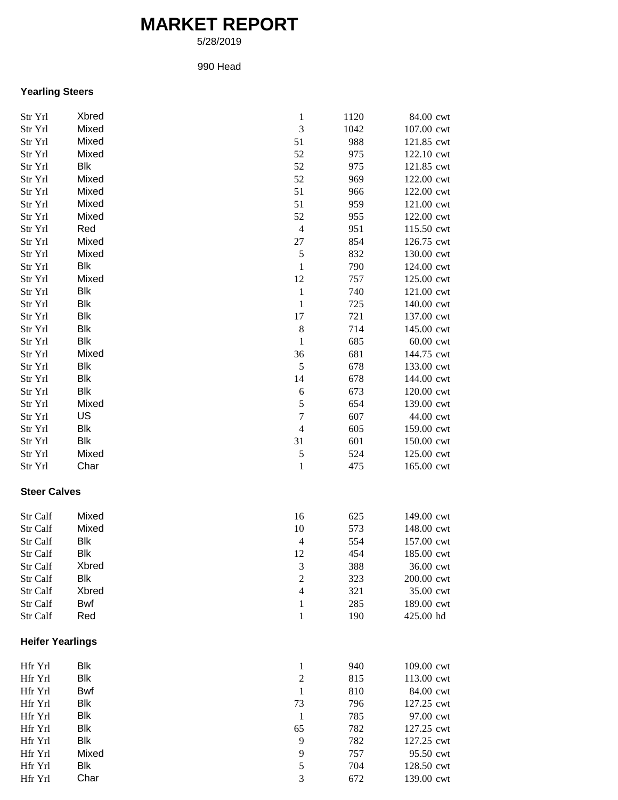## **MARKET REPORT**

5/28/2019

## 990 Head

## **Yearling Steers**

| Str Yrl                 | Xbred      | $\mathbf{1}$             | 1120 | 84.00 cwt  |
|-------------------------|------------|--------------------------|------|------------|
| Str Yrl                 | Mixed      | $\mathfrak{Z}$           | 1042 | 107.00 cwt |
| Str Yrl                 | Mixed      | 51                       | 988  | 121.85 cwt |
| Str Yrl                 | Mixed      | 52                       | 975  | 122.10 cwt |
| Str Yrl                 | Blk        | 52                       | 975  | 121.85 cwt |
| Str Yrl                 | Mixed      | 52                       | 969  | 122.00 cwt |
| Str Yrl                 | Mixed      | 51                       | 966  | 122.00 cwt |
| Str Yrl                 | Mixed      | 51                       | 959  | 121.00 cwt |
| Str Yrl                 | Mixed      | 52                       | 955  | 122.00 cwt |
| Str Yrl                 | Red        | $\overline{4}$           | 951  | 115.50 cwt |
| Str Yrl                 | Mixed      | 27                       | 854  | 126.75 cwt |
| Str Yrl                 | Mixed      | 5                        | 832  | 130.00 cwt |
| Str Yrl                 | Blk        | $\mathbf{1}$             | 790  | 124.00 cwt |
| Str Yrl                 | Mixed      | 12                       | 757  | 125.00 cwt |
| Str Yrl                 | Blk        | $\mathbf 1$              | 740  | 121.00 cwt |
| Str Yrl                 | Blk        | $\mathbf{1}$             | 725  | 140.00 cwt |
| Str Yrl                 | <b>Blk</b> | 17                       | 721  | 137.00 cwt |
| Str Yrl                 | Blk        | $\,8\,$                  | 714  | 145.00 cwt |
| Str Yrl                 | Blk        | $\mathbf{1}$             | 685  | 60.00 cwt  |
| Str Yrl                 | Mixed      | 36                       | 681  | 144.75 cwt |
| Str Yrl                 | Blk        | 5                        | 678  | 133.00 cwt |
| Str Yrl                 | Blk        | 14                       | 678  | 144.00 cwt |
| Str Yrl                 | <b>Blk</b> | 6                        | 673  | 120.00 cwt |
| Str Yrl                 | Mixed      | 5                        | 654  | 139.00 cwt |
| Str Yrl                 | US         | $\boldsymbol{7}$         | 607  | 44.00 cwt  |
| Str Yrl                 | Blk        | $\overline{4}$           | 605  | 159.00 cwt |
| Str Yrl                 | Blk        | 31                       | 601  | 150.00 cwt |
| Str Yrl                 | Mixed      | 5                        | 524  | 125.00 cwt |
| Str Yrl                 | Char       | $\mathbf{1}$             | 475  | 165.00 cwt |
| <b>Steer Calves</b>     |            |                          |      |            |
| Str Calf                | Mixed      | 16                       | 625  | 149.00 cwt |
| Str Calf                | Mixed      | 10                       | 573  | 148.00 cwt |
| Str Calf                | Blk        | $\overline{4}$           | 554  | 157.00 cwt |
| Str Calf                | Blk        | 12                       | 454  | 185.00 cwt |
| Str Calf                | Xbred      | $\sqrt{3}$               | 388  | 36.00 cwt  |
| Str Calf                | Blk        | $\mathfrak 2$            | 323  | 200.00 cwt |
| Str Calf                | Xbred      | $\overline{\mathcal{A}}$ | 321  | 35.00 cwt  |
| Str Calf                | Bwf        | 1                        | 285  | 189.00 cwt |
| Str Calf                | Red        | $\mathbf{1}$             | 190  | 425.00 hd  |
| <b>Heifer Yearlings</b> |            |                          |      |            |
| Hfr Yrl                 | Blk        | $\mathbf{1}$             | 940  | 109.00 cwt |
| Hfr Yrl                 | Blk        | $\sqrt{2}$               | 815  | 113.00 cwt |
| Hfr Yrl                 | Bwf        | $\mathbf{1}$             | 810  | 84.00 cwt  |
| Hfr Yrl                 | Blk        | 73                       | 796  | 127.25 cwt |
| Hfr Yrl                 | <b>Blk</b> | $\mathbf{1}$             | 785  | 97.00 cwt  |
| Hfr Yrl                 | <b>Blk</b> | 65                       | 782  | 127.25 cwt |
| Hfr Yrl                 | <b>Blk</b> | 9                        | 782  | 127.25 cwt |
| Hfr Yrl                 | Mixed      | 9                        | 757  | 95.50 cwt  |
| Hfr Yrl                 | Blk        | 5                        | 704  | 128.50 cwt |
| Hfr Yrl                 | Char       | 3                        | 672  | 139.00 cwt |
|                         |            |                          |      |            |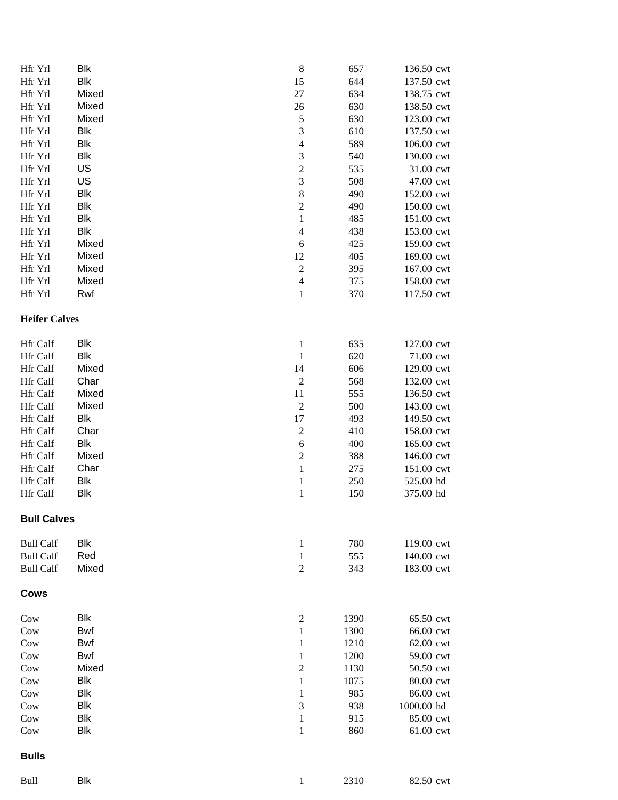| Hfr Yrl              | Blk        | $\,8\,$                     | 657  | 136.50 cwt |
|----------------------|------------|-----------------------------|------|------------|
| Hfr Yrl              | <b>Blk</b> | 15                          | 644  | 137.50 cwt |
| Hfr Yrl              | Mixed      | $27\,$                      | 634  | 138.75 cwt |
| Hfr Yrl              | Mixed      | 26                          | 630  | 138.50 cwt |
| Hfr Yrl              | Mixed      | 5                           | 630  | 123.00 cwt |
| Hfr Yrl              | Blk        | $\ensuremath{\mathfrak{Z}}$ | 610  | 137.50 cwt |
| Hfr Yrl              | Blk        | $\overline{4}$              | 589  | 106.00 cwt |
| Hfr Yrl              | Blk        | $\sqrt{3}$                  | 540  | 130.00 cwt |
|                      | US         | $\sqrt{2}$                  | 535  |            |
| Hfr Yrl              | US         | $\mathfrak{Z}$              |      | 31.00 cwt  |
| Hfr Yrl              |            |                             | 508  | 47.00 cwt  |
| Hfr Yrl              | <b>Blk</b> | $\,$ 8 $\,$                 | 490  | 152.00 cwt |
| Hfr Yrl              | <b>Blk</b> | $\overline{c}$              | 490  | 150.00 cwt |
| Hfr Yrl              | <b>Blk</b> | $\,1\,$                     | 485  | 151.00 cwt |
| Hfr Yrl              | <b>Blk</b> | $\overline{4}$              | 438  | 153.00 cwt |
| Hfr Yrl              | Mixed      | $\sqrt{6}$                  | 425  | 159.00 cwt |
| Hfr Yrl              | Mixed      | 12                          | 405  | 169.00 cwt |
| Hfr Yrl              | Mixed      | $\overline{c}$              | 395  | 167.00 cwt |
| Hfr Yrl              | Mixed      | $\overline{4}$              | 375  | 158.00 cwt |
| Hfr Yrl              | Rwf        | $\,1$                       | 370  | 117.50 cwt |
| <b>Heifer Calves</b> |            |                             |      |            |
| Hfr Calf             | Blk        | $\mathbf{1}$                | 635  | 127.00 cwt |
| Hfr Calf             | <b>Blk</b> | $\mathbf{1}$                | 620  | 71.00 cwt  |
| Hfr Calf             | Mixed      | 14                          | 606  | 129.00 cwt |
| Hfr Calf             | Char       | $\boldsymbol{2}$            | 568  | 132.00 cwt |
| Hfr Calf             | Mixed      | 11                          | 555  | 136.50 cwt |
| Hfr Calf             | Mixed      | $\sqrt{2}$                  | 500  | 143.00 cwt |
| Hfr Calf             | <b>Blk</b> | $17\,$                      | 493  | 149.50 cwt |
| <b>Hfr Calf</b>      | Char       | $\sqrt{2}$                  | 410  | 158.00 cwt |
| Hfr Calf             | Blk        | $\sqrt{6}$                  | 400  | 165.00 cwt |
| Hfr Calf             | Mixed      | $\sqrt{2}$                  | 388  | 146.00 cwt |
| Hfr Calf             | Char       | $\,1\,$                     | 275  | 151.00 cwt |
| Hfr Calf             | Blk        | $\mathbf{1}$                | 250  | 525.00 hd  |
| Hfr Calf             | Blk        | $\mathbf{1}$                | 150  | 375.00 hd  |
| <b>Bull Calves</b>   |            |                             |      |            |
| <b>Bull Calf</b>     | Blk        | $\mathbf{1}$                | 780  | 119.00 cwt |
| <b>Bull Calf</b>     | Red        | $\mathbf{1}$                | 555  | 140.00 cwt |
| <b>Bull Calf</b>     | Mixed      | $\boldsymbol{2}$            | 343  | 183.00 cwt |
| <b>Cows</b>          |            |                             |      |            |
| Cow                  | Blk        | $\overline{c}$              | 1390 | 65.50 cwt  |
| Cow                  | <b>Bwf</b> | 1                           | 1300 | 66.00 cwt  |
| Cow                  | <b>Bwf</b> | $\mathbf{1}$                | 1210 | 62.00 cwt  |
| Cow                  | <b>Bwf</b> | $\mathbf{1}$                | 1200 | 59.00 cwt  |
| Cow                  | Mixed      | $\mathfrak 2$               | 1130 | 50.50 cwt  |
| Cow                  | Blk        | 1                           | 1075 | 80.00 cwt  |
| Cow                  | Blk        | $\mathbf{1}$                | 985  | 86.00 cwt  |
| Cow                  | Blk        | $\mathfrak{Z}$              | 938  | 1000.00 hd |
| Cow                  | Blk        | $\mathbf{1}$                | 915  | 85.00 cwt  |
| Cow                  | Blk        | $\,1$                       | 860  | 61.00 cwt  |
| <b>Bulls</b>         |            |                             |      |            |
| Bull                 | <b>Blk</b> | 1                           | 2310 | 82.50 cwt  |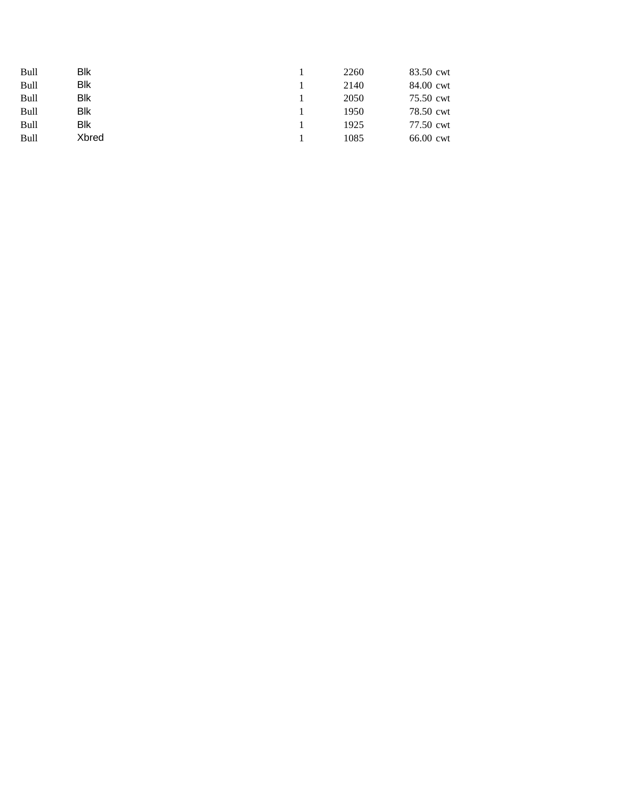| <b>Bull</b> | Blk         | 2260 | 83.50 cwt |
|-------------|-------------|------|-----------|
| <b>Bull</b> | <b>B</b> lk | 2140 | 84.00 cwt |
| <b>Bull</b> | Blk         | 2050 | 75.50 cwt |
| <b>Bull</b> | Blk         | 1950 | 78.50 cwt |
| <b>Bull</b> | Blk         | 1925 | 77.50 cwt |
| Bull        | Xbred       | 1085 | 66.00 cwt |